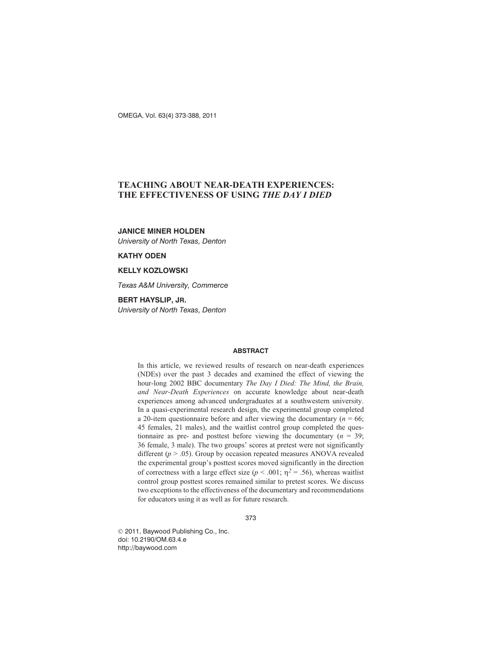OMEGA, Vol. 63(4) 373-388, 2011

# **TEACHING ABOUT NEAR-DEATH EXPERIENCES: THE EFFECTIVENESS OF USING** *THE DAY I DIED*

#### **JANICE MINER HOLDEN**

*University of North Texas, Denton*

#### **KATHY ODEN**

#### **KELLY KOZLOWSKI**

*Texas A&M University, Commerce*

## **BERT HAYSLIP, JR.**

*University of North Texas, Denton*

## **ABSTRACT**

In this article, we reviewed results of research on near-death experiences (NDEs) over the past 3 decades and examined the effect of viewing the hour-long 2002 BBC documentary *The Day I Died: The Mind, the Brain, and Near-Death Experiences* on accurate knowledge about near-death experiences among advanced undergraduates at a southwestern university. In a quasi-experimental research design, the experimental group completed a 20-item questionnaire before and after viewing the documentary ( $n = 66$ ; 45 females, 21 males), and the waitlist control group completed the questionnaire as pre- and posttest before viewing the documentary  $(n = 39)$ ; 36 female, 3 male). The two groups' scores at pretest were not significantly different  $(p > .05)$ . Group by occasion repeated measures ANOVA revealed the experimental group's posttest scores moved significantly in the direction of correctness with a large effect size ( $p < .001$ ;  $\eta^2 = .56$ ), whereas waitlist control group posttest scores remained similar to pretest scores. We discuss two exceptions to the effectiveness of the documentary and recommendations for educators using it as well as for future research.

373

 $©$  2011, Baywood Publishing Co., Inc. doi: 10.2190/OM.63.4.e http://baywood.com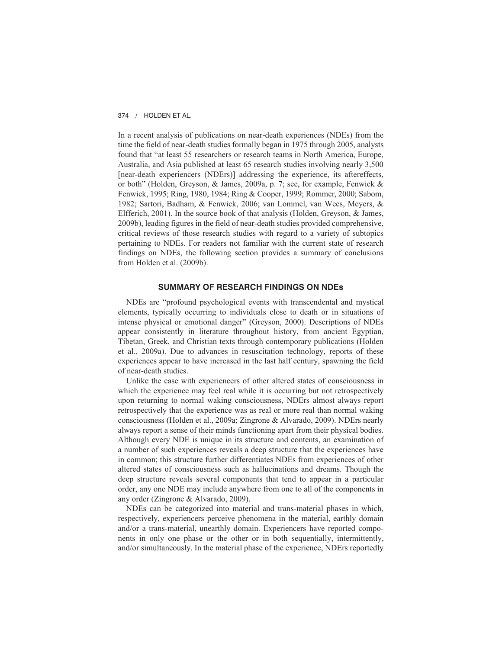In a recent analysis of publications on near-death experiences (NDEs) from the time the field of near-death studies formally began in 1975 through 2005, analysts found that "at least 55 researchers or research teams in North America, Europe, Australia, and Asia published at least 65 research studies involving nearly 3,500 [near-death experiencers (NDErs)] addressing the experience, its aftereffects, or both" (Holden, Greyson, & James, 2009a, p. 7; see, for example, Fenwick & Fenwick, 1995; Ring, 1980, 1984; Ring & Cooper, 1999; Rommer, 2000; Sabom, 1982; Sartori, Badham, & Fenwick, 2006; van Lommel, van Wees, Meyers, & Elfferich, 2001). In the source book of that analysis (Holden, Greyson, & James, 2009b), leading figures in the field of near-death studies provided comprehensive, critical reviews of those research studies with regard to a variety of subtopics pertaining to NDEs. For readers not familiar with the current state of research findings on NDEs, the following section provides a summary of conclusions from Holden et al. (2009b).

#### **SUMMARY OF RESEARCH FINDINGS ON NDEs**

NDEs are "profound psychological events with transcendental and mystical elements, typically occurring to individuals close to death or in situations of intense physical or emotional danger" (Greyson, 2000). Descriptions of NDEs appear consistently in literature throughout history, from ancient Egyptian, Tibetan, Greek, and Christian texts through contemporary publications (Holden et al., 2009a). Due to advances in resuscitation technology, reports of these experiences appear to have increased in the last half century, spawning the field of near-death studies.

Unlike the case with experiencers of other altered states of consciousness in which the experience may feel real while it is occurring but not retrospectively upon returning to normal waking consciousness, NDErs almost always report retrospectively that the experience was as real or more real than normal waking consciousness (Holden et al., 2009a; Zingrone & Alvarado, 2009). NDErs nearly always report a sense of their minds functioning apart from their physical bodies. Although every NDE is unique in its structure and contents, an examination of a number of such experiences reveals a deep structure that the experiences have in common; this structure further differentiates NDEs from experiences of other altered states of consciousness such as hallucinations and dreams. Though the deep structure reveals several components that tend to appear in a particular order, any one NDE may include anywhere from one to all of the components in any order (Zingrone & Alvarado, 2009).

NDEs can be categorized into material and trans-material phases in which, respectively, experiencers perceive phenomena in the material, earthly domain and/or a trans-material, unearthly domain. Experiencers have reported components in only one phase or the other or in both sequentially, intermittently, and/or simultaneously. In the material phase of the experience, NDErs reportedly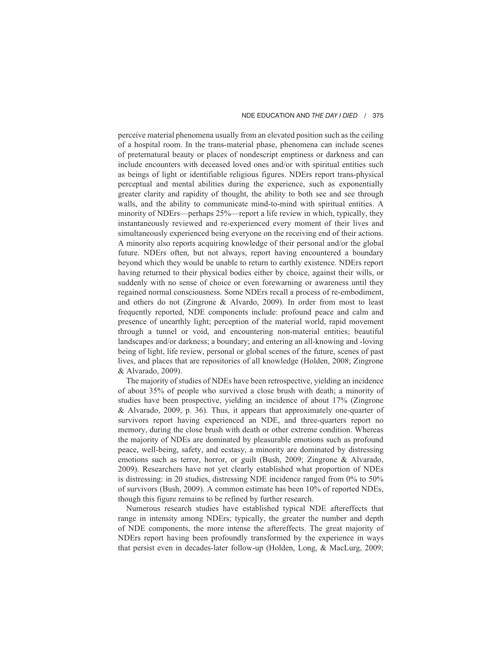perceive material phenomena usually from an elevated position such as the ceiling of a hospital room. In the trans-material phase, phenomena can include scenes of preternatural beauty or places of nondescript emptiness or darkness and can include encounters with deceased loved ones and/or with spiritual entities such as beings of light or identifiable religious figures. NDErs report trans-physical perceptual and mental abilities during the experience, such as exponentially greater clarity and rapidity of thought, the ability to both see and see through walls, and the ability to communicate mind-to-mind with spiritual entities. A minority of NDErs—perhaps 25%—report a life review in which, typically, they instantaneously reviewed and re-experienced every moment of their lives and simultaneously experienced being everyone on the receiving end of their actions. A minority also reports acquiring knowledge of their personal and/or the global future. NDErs often, but not always, report having encountered a boundary beyond which they would be unable to return to earthly existence. NDErs report having returned to their physical bodies either by choice, against their wills, or suddenly with no sense of choice or even forewarning or awareness until they regained normal consciousness. Some NDErs recall a process of re-embodiment, and others do not (Zingrone & Alvardo, 2009). In order from most to least frequently reported, NDE components include: profound peace and calm and presence of unearthly light; perception of the material world, rapid movement through a tunnel or void, and encountering non-material entities; beautiful landscapes and/or darkness; a boundary; and entering an all-knowing and -loving being of light, life review, personal or global scenes of the future, scenes of past lives, and places that are repositories of all knowledge (Holden, 2008; Zingrone & Alvarado, 2009).

The majority of studies of NDEs have been retrospective, yielding an incidence of about 35% of people who survived a close brush with death; a minority of studies have been prospective, yielding an incidence of about 17% (Zingrone & Alvarado, 2009, p. 36). Thus, it appears that approximately one-quarter of survivors report having experienced an NDE, and three-quarters report no memory, during the close brush with death or other extreme condition. Whereas the majority of NDEs are dominated by pleasurable emotions such as profound peace, well-being, safety, and ecstasy, a minority are dominated by distressing emotions such as terror, horror, or guilt (Bush, 2009; Zingrone & Alvarado, 2009). Researchers have not yet clearly established what proportion of NDEs is distressing: in 20 studies, distressing NDE incidence ranged from 0% to 50% of survivors (Bush, 2009). A common estimate has been 10% of reported NDEs, though this figure remains to be refined by further research.

Numerous research studies have established typical NDE aftereffects that range in intensity among NDErs; typically, the greater the number and depth of NDE components, the more intense the aftereffects. The great majority of NDErs report having been profoundly transformed by the experience in ways that persist even in decades-later follow-up (Holden, Long, & MacLurg, 2009;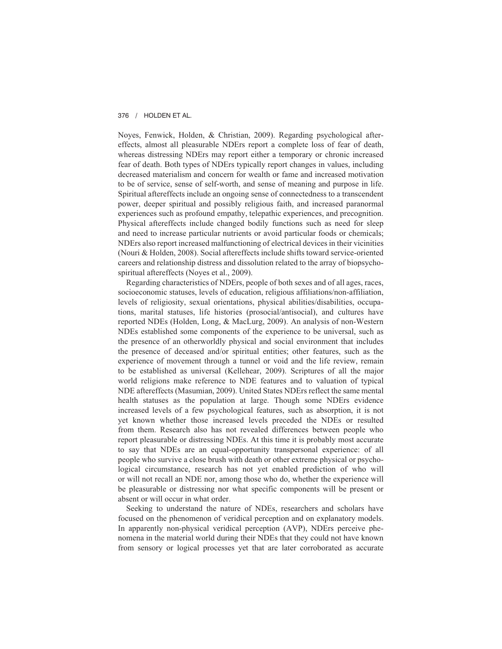Noyes, Fenwick, Holden, & Christian, 2009). Regarding psychological aftereffects, almost all pleasurable NDErs report a complete loss of fear of death, whereas distressing NDErs may report either a temporary or chronic increased fear of death. Both types of NDErs typically report changes in values, including decreased materialism and concern for wealth or fame and increased motivation to be of service, sense of self-worth, and sense of meaning and purpose in life. Spiritual aftereffects include an ongoing sense of connectedness to a transcendent power, deeper spiritual and possibly religious faith, and increased paranormal experiences such as profound empathy, telepathic experiences, and precognition. Physical aftereffects include changed bodily functions such as need for sleep and need to increase particular nutrients or avoid particular foods or chemicals; NDErs also report increased malfunctioning of electrical devices in their vicinities (Nouri & Holden, 2008). Social aftereffects include shifts toward service-oriented careers and relationship distress and dissolution related to the array of biopsychospiritual aftereffects (Noyes et al., 2009).

Regarding characteristics of NDErs, people of both sexes and of all ages, races, socioeconomic statuses, levels of education, religious affiliations/non-affiliation, levels of religiosity, sexual orientations, physical abilities/disabilities, occupations, marital statuses, life histories (prosocial/antisocial), and cultures have reported NDEs (Holden, Long, & MacLurg, 2009). An analysis of non-Western NDEs established some components of the experience to be universal, such as the presence of an otherworldly physical and social environment that includes the presence of deceased and/or spiritual entities; other features, such as the experience of movement through a tunnel or void and the life review, remain to be established as universal (Kellehear, 2009). Scriptures of all the major world religions make reference to NDE features and to valuation of typical NDE aftereffects (Masumian, 2009). United States NDErs reflect the same mental health statuses as the population at large. Though some NDErs evidence increased levels of a few psychological features, such as absorption, it is not yet known whether those increased levels preceded the NDEs or resulted from them. Research also has not revealed differences between people who report pleasurable or distressing NDEs. At this time it is probably most accurate to say that NDEs are an equal-opportunity transpersonal experience: of all people who survive a close brush with death or other extreme physical or psychological circumstance, research has not yet enabled prediction of who will or will not recall an NDE nor, among those who do, whether the experience will be pleasurable or distressing nor what specific components will be present or absent or will occur in what order.

Seeking to understand the nature of NDEs, researchers and scholars have focused on the phenomenon of veridical perception and on explanatory models. In apparently non-physical veridical perception (AVP), NDErs perceive phenomena in the material world during their NDEs that they could not have known from sensory or logical processes yet that are later corroborated as accurate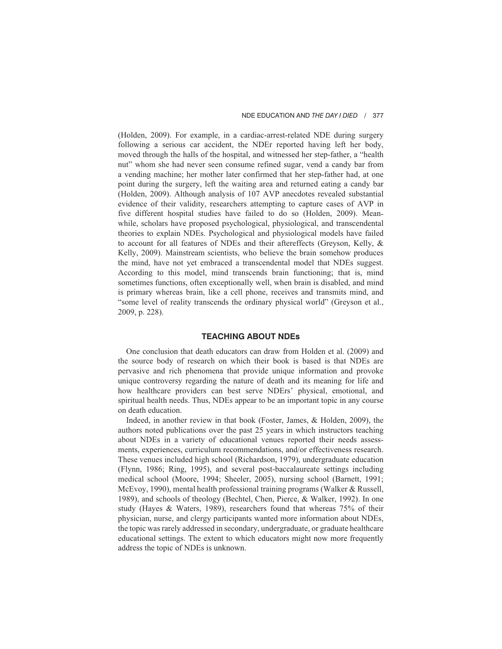(Holden, 2009). For example, in a cardiac-arrest-related NDE during surgery following a serious car accident, the NDEr reported having left her body, moved through the halls of the hospital, and witnessed her step-father, a "health nut" whom she had never seen consume refined sugar, vend a candy bar from a vending machine; her mother later confirmed that her step-father had, at one point during the surgery, left the waiting area and returned eating a candy bar (Holden, 2009). Although analysis of 107 AVP anecdotes revealed substantial evidence of their validity, researchers attempting to capture cases of AVP in five different hospital studies have failed to do so (Holden, 2009). Meanwhile, scholars have proposed psychological, physiological, and transcendental theories to explain NDEs. Psychological and physiological models have failed to account for all features of NDEs and their aftereffects (Greyson, Kelly, & Kelly, 2009). Mainstream scientists, who believe the brain somehow produces the mind, have not yet embraced a transcendental model that NDEs suggest. According to this model, mind transcends brain functioning; that is, mind sometimes functions, often exceptionally well, when brain is disabled, and mind is primary whereas brain, like a cell phone, receives and transmits mind, and "some level of reality transcends the ordinary physical world" (Greyson et al., 2009, p. 228).

#### **TEACHING ABOUT NDEs**

One conclusion that death educators can draw from Holden et al. (2009) and the source body of research on which their book is based is that NDEs are pervasive and rich phenomena that provide unique information and provoke unique controversy regarding the nature of death and its meaning for life and how healthcare providers can best serve NDErs' physical, emotional, and spiritual health needs. Thus, NDEs appear to be an important topic in any course on death education.

Indeed, in another review in that book (Foster, James, & Holden, 2009), the authors noted publications over the past 25 years in which instructors teaching about NDEs in a variety of educational venues reported their needs assessments, experiences, curriculum recommendations, and/or effectiveness research. These venues included high school (Richardson, 1979), undergraduate education (Flynn, 1986; Ring, 1995), and several post-baccalaureate settings including medical school (Moore, 1994; Sheeler, 2005), nursing school (Barnett, 1991; McEvoy, 1990), mental health professional training programs (Walker & Russell, 1989), and schools of theology (Bechtel, Chen, Pierce, & Walker, 1992). In one study (Hayes & Waters, 1989), researchers found that whereas 75% of their physician, nurse, and clergy participants wanted more information about NDEs, the topic was rarely addressed in secondary, undergraduate, or graduate healthcare educational settings. The extent to which educators might now more frequently address the topic of NDEs is unknown.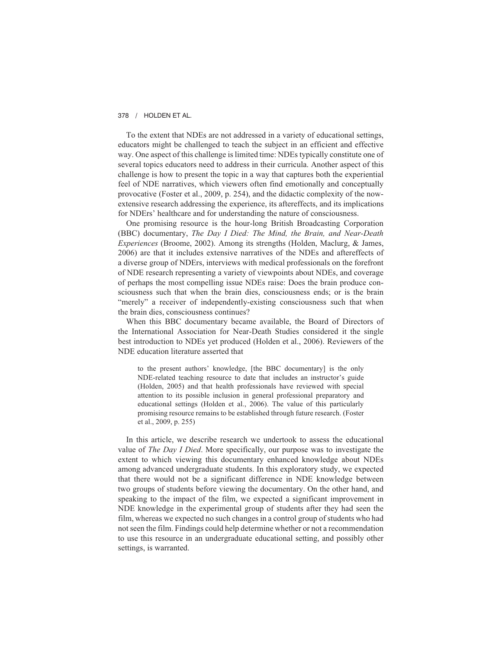To the extent that NDEs are not addressed in a variety of educational settings, educators might be challenged to teach the subject in an efficient and effective way. One aspect of this challenge is limited time: NDEs typically constitute one of several topics educators need to address in their curricula. Another aspect of this challenge is how to present the topic in a way that captures both the experiential feel of NDE narratives, which viewers often find emotionally and conceptually provocative (Foster et al., 2009, p. 254), and the didactic complexity of the nowextensive research addressing the experience, its aftereffects, and its implications for NDErs' healthcare and for understanding the nature of consciousness.

One promising resource is the hour-long British Broadcasting Corporation (BBC) documentary, *The Day I Died: The Mind, the Brain, and Near-Death Experiences* (Broome, 2002). Among its strengths (Holden, Maclurg, & James, 2006) are that it includes extensive narratives of the NDEs and aftereffects of a diverse group of NDErs, interviews with medical professionals on the forefront of NDE research representing a variety of viewpoints about NDEs, and coverage of perhaps the most compelling issue NDEs raise: Does the brain produce consciousness such that when the brain dies, consciousness ends; or is the brain "merely" a receiver of independently-existing consciousness such that when the brain dies, consciousness continues?

When this BBC documentary became available, the Board of Directors of the International Association for Near-Death Studies considered it the single best introduction to NDEs yet produced (Holden et al., 2006). Reviewers of the NDE education literature asserted that

to the present authors' knowledge, [the BBC documentary] is the only NDE-related teaching resource to date that includes an instructor's guide (Holden, 2005) and that health professionals have reviewed with special attention to its possible inclusion in general professional preparatory and educational settings (Holden et al., 2006). The value of this particularly promising resource remains to be established through future research. (Foster et al., 2009, p. 255)

In this article, we describe research we undertook to assess the educational value of *The Day I Died*. More specifically, our purpose was to investigate the extent to which viewing this documentary enhanced knowledge about NDEs among advanced undergraduate students. In this exploratory study, we expected that there would not be a significant difference in NDE knowledge between two groups of students before viewing the documentary. On the other hand, and speaking to the impact of the film, we expected a significant improvement in NDE knowledge in the experimental group of students after they had seen the film, whereas we expected no such changes in a control group of students who had not seen the film. Findings could help determine whether or not a recommendation to use this resource in an undergraduate educational setting, and possibly other settings, is warranted.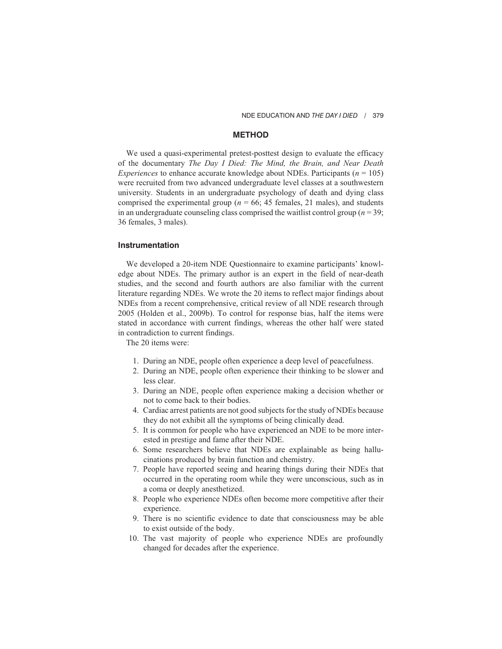### **METHOD**

We used a quasi-experimental pretest-posttest design to evaluate the efficacy of the documentary *The Day I Died: The Mind, the Brain, and Near Death Experiences* to enhance accurate knowledge about NDEs. Participants ( $n = 105$ ) were recruited from two advanced undergraduate level classes at a southwestern university. Students in an undergraduate psychology of death and dying class comprised the experimental group ( $n = 66$ ; 45 females, 21 males), and students in an undergraduate counseling class comprised the waitlist control group (*n* = 39; 36 females, 3 males).

## **Instrumentation**

We developed a 20-item NDE Questionnaire to examine participants' knowledge about NDEs. The primary author is an expert in the field of near-death studies, and the second and fourth authors are also familiar with the current literature regarding NDEs. We wrote the 20 items to reflect major findings about NDEs from a recent comprehensive, critical review of all NDE research through 2005 (Holden et al., 2009b). To control for response bias, half the items were stated in accordance with current findings, whereas the other half were stated in contradiction to current findings.

The 20 items were:

- 1. During an NDE, people often experience a deep level of peacefulness.
- 2. During an NDE, people often experience their thinking to be slower and less clear.
- 3. During an NDE, people often experience making a decision whether or not to come back to their bodies.
- 4. Cardiac arrest patients are not good subjects for the study of NDEs because they do not exhibit all the symptoms of being clinically dead.
- 5. It is common for people who have experienced an NDE to be more interested in prestige and fame after their NDE.
- 6. Some researchers believe that NDEs are explainable as being hallucinations produced by brain function and chemistry.
- 7. People have reported seeing and hearing things during their NDEs that occurred in the operating room while they were unconscious, such as in a coma or deeply anesthetized.
- 8. People who experience NDEs often become more competitive after their experience.
- 9. There is no scientific evidence to date that consciousness may be able to exist outside of the body.
- 10. The vast majority of people who experience NDEs are profoundly changed for decades after the experience.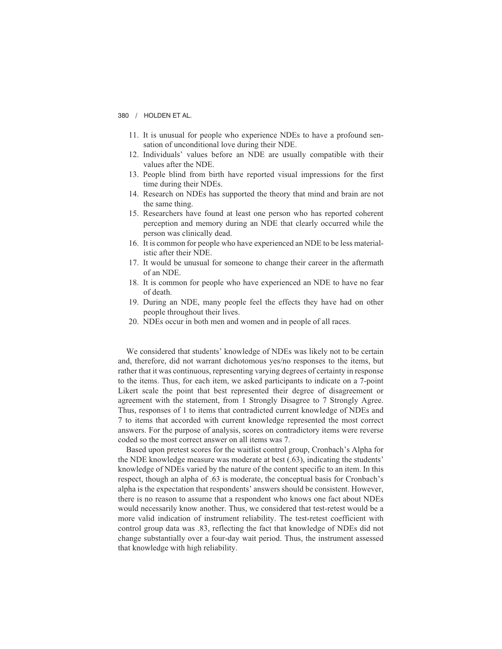- 11. It is unusual for people who experience NDEs to have a profound sensation of unconditional love during their NDE.
- 12. Individuals' values before an NDE are usually compatible with their values after the NDE.
- 13. People blind from birth have reported visual impressions for the first time during their NDEs.
- 14. Research on NDEs has supported the theory that mind and brain are not the same thing.
- 15. Researchers have found at least one person who has reported coherent perception and memory during an NDE that clearly occurred while the person was clinically dead.
- 16. It is common for people who have experienced an NDE to be less materialistic after their NDE.
- 17. It would be unusual for someone to change their career in the aftermath of an NDE.
- 18. It is common for people who have experienced an NDE to have no fear of death.
- 19. During an NDE, many people feel the effects they have had on other people throughout their lives.
- 20. NDEs occur in both men and women and in people of all races.

We considered that students' knowledge of NDEs was likely not to be certain and, therefore, did not warrant dichotomous yes/no responses to the items, but rather that it was continuous, representing varying degrees of certainty in response to the items. Thus, for each item, we asked participants to indicate on a 7-point Likert scale the point that best represented their degree of disagreement or agreement with the statement, from 1 Strongly Disagree to 7 Strongly Agree. Thus, responses of 1 to items that contradicted current knowledge of NDEs and 7 to items that accorded with current knowledge represented the most correct answers. For the purpose of analysis, scores on contradictory items were reverse coded so the most correct answer on all items was 7.

Based upon pretest scores for the waitlist control group, Cronbach's Alpha for the NDE knowledge measure was moderate at best (.63), indicating the students' knowledge of NDEs varied by the nature of the content specific to an item. In this respect, though an alpha of .63 is moderate, the conceptual basis for Cronbach's alpha is the expectation that respondents' answers should be consistent. However, there is no reason to assume that a respondent who knows one fact about NDEs would necessarily know another. Thus, we considered that test-retest would be a more valid indication of instrument reliability. The test-retest coefficient with control group data was .83, reflecting the fact that knowledge of NDEs did not change substantially over a four-day wait period. Thus, the instrument assessed that knowledge with high reliability.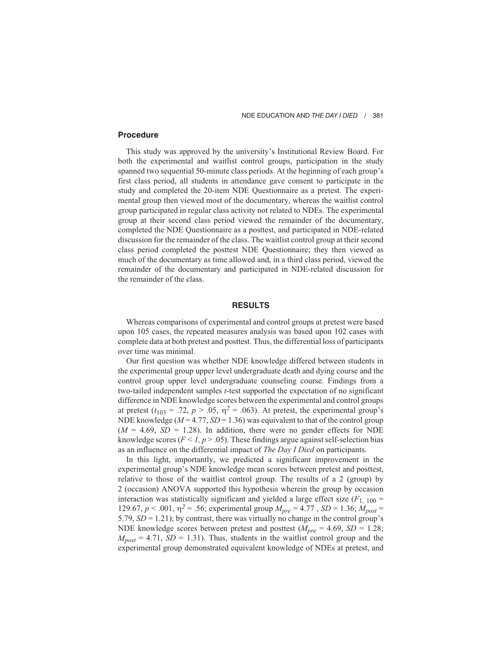## **Procedure**

This study was approved by the university's Institutional Review Board. For both the experimental and waitlist control groups, participation in the study spanned two sequential 50-minute class periods. At the beginning of each group's first class period, all students in attendance gave consent to participate in the study and completed the 20-item NDE Questionnaire as a pretest. The experimental group then viewed most of the documentary, whereas the waitlist control group participated in regular class activity not related to NDEs. The experimental group at their second class period viewed the remainder of the documentary, completed the NDE Questionnaire as a posttest, and participated in NDE-related discussion for the remainder of the class. The waitlist control group at their second class period completed the posttest NDE Questionnaire; they then viewed as much of the documentary as time allowed and, in a third class period, viewed the remainder of the documentary and participated in NDE-related discussion for the remainder of the class.

#### **RESULTS**

Whereas comparisons of experimental and control groups at pretest were based upon 105 cases, the repeated measures analysis was based upon 102 cases with complete data at both pretest and posttest. Thus, the differential loss of participants over time was minimal.

Our first question was whether NDE knowledge differed between students in the experimental group upper level undergraduate death and dying course and the control group upper level undergraduate counseling course. Findings from a two-tailed independent samples *t*-test supported the expectation of no significant difference in NDE knowledge scores between the experimental and control groups at pretest ( $t_{103} = .72$ ,  $p > .05$ ,  $\eta^2 = .063$ ). At pretest, the experimental group's NDE knowledge (*M* = 4.77, *SD* = 1.36) was equivalent to that of the control group  $(M = 4.69, SD = 1.28)$ . In addition, there were no gender effects for NDE knowledge scores ( $F < 1$ ,  $p > .05$ ). These findings argue against self-selection bias as an influence on the differential impact of *The Day I Died* on participants.

In this light, importantly, we predicted a significant improvement in the experimental group's NDE knowledge mean scores between pretest and posttest, relative to those of the waitlist control group. The results of a 2 (group) by 2 (occasion) ANOVA supported this hypothesis wherein the group by occasion interaction was statistically significant and yielded a large effect size  $(F_{1, 100} =$ 129.67, *p* < .001,  $η^2 = .56$ ; experimental group  $M_{pre} = 4.77$ ,  $SD = 1.36$ ;  $M_{post} =$ 5.79,  $SD = 1.21$ ); by contrast, there was virtually no change in the control group's NDE knowledge scores between pretest and posttest  $(M_{pre} = 4.69, SD = 1.28;$  $M_{post} = 4.71$ ,  $SD = 1.31$ ). Thus, students in the waitlist control group and the experimental group demonstrated equivalent knowledge of NDEs at pretest, and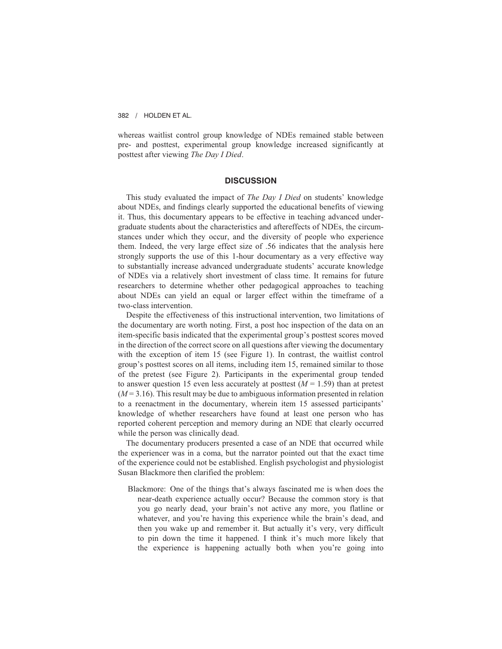whereas waitlist control group knowledge of NDEs remained stable between pre- and posttest, experimental group knowledge increased significantly at posttest after viewing *The Day I Died*.

## **DISCUSSION**

This study evaluated the impact of *The Day I Died* on students' knowledge about NDEs, and findings clearly supported the educational benefits of viewing it. Thus, this documentary appears to be effective in teaching advanced undergraduate students about the characteristics and aftereffects of NDEs, the circumstances under which they occur, and the diversity of people who experience them. Indeed, the very large effect size of .56 indicates that the analysis here strongly supports the use of this 1-hour documentary as a very effective way to substantially increase advanced undergraduate students' accurate knowledge of NDEs via a relatively short investment of class time. It remains for future researchers to determine whether other pedagogical approaches to teaching about NDEs can yield an equal or larger effect within the timeframe of a two-class intervention.

Despite the effectiveness of this instructional intervention, two limitations of the documentary are worth noting. First, a post hoc inspection of the data on an item-specific basis indicated that the experimental group's posttest scores moved in the direction of the correct score on all questions after viewing the documentary with the exception of item 15 (see Figure 1). In contrast, the waitlist control group's posttest scores on all items, including item 15, remained similar to those of the pretest (see Figure 2). Participants in the experimental group tended to answer question 15 even less accurately at posttest  $(M = 1.59)$  than at pretest  $(M=3.16)$ . This result may be due to ambiguous information presented in relation to a reenactment in the documentary, wherein item 15 assessed participants' knowledge of whether researchers have found at least one person who has reported coherent perception and memory during an NDE that clearly occurred while the person was clinically dead.

The documentary producers presented a case of an NDE that occurred while the experiencer was in a coma, but the narrator pointed out that the exact time of the experience could not be established. English psychologist and physiologist Susan Blackmore then clarified the problem:

Blackmore: One of the things that's always fascinated me is when does the near-death experience actually occur? Because the common story is that you go nearly dead, your brain's not active any more, you flatline or whatever, and you're having this experience while the brain's dead, and then you wake up and remember it. But actually it's very, very difficult to pin down the time it happened. I think it's much more likely that the experience is happening actually both when you're going into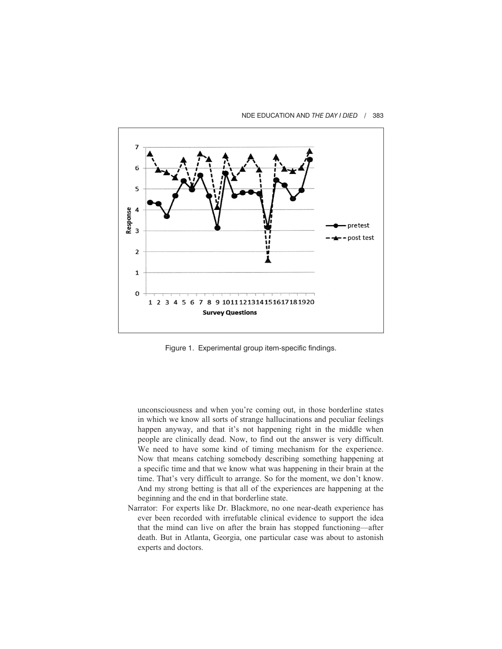

#### NDE EDUCATION AND *THE DAY I DIED* / 383

Figure 1. Experimental group item-specific findings.

unconsciousness and when you're coming out, in those borderline states in which we know all sorts of strange hallucinations and peculiar feelings happen anyway, and that it's not happening right in the middle when people are clinically dead. Now, to find out the answer is very difficult. We need to have some kind of timing mechanism for the experience. Now that means catching somebody describing something happening at a specific time and that we know what was happening in their brain at the time. That's very difficult to arrange. So for the moment, we don't know. And my strong betting is that all of the experiences are happening at the beginning and the end in that borderline state.

Narrator: For experts like Dr. Blackmore, no one near-death experience has ever been recorded with irrefutable clinical evidence to support the idea that the mind can live on after the brain has stopped functioning—after death. But in Atlanta, Georgia, one particular case was about to astonish experts and doctors.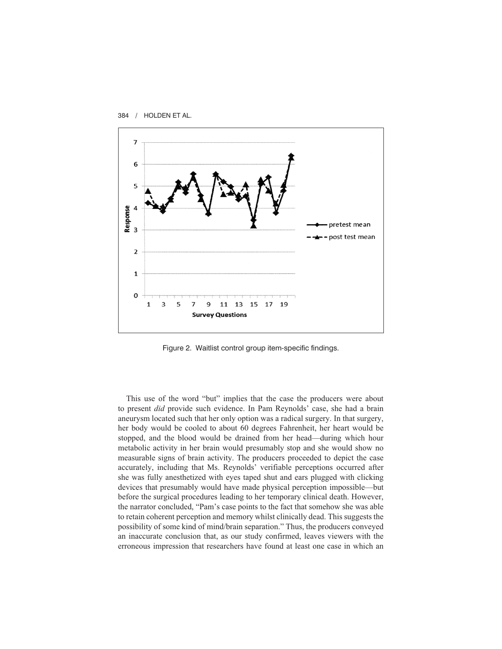

384 / HOLDEN ET AL.

Figure 2. Waitlist control group item-specific findings.

This use of the word "but" implies that the case the producers were about to present *did* provide such evidence. In Pam Reynolds' case, she had a brain aneurysm located such that her only option was a radical surgery. In that surgery, her body would be cooled to about 60 degrees Fahrenheit, her heart would be stopped, and the blood would be drained from her head—during which hour metabolic activity in her brain would presumably stop and she would show no measurable signs of brain activity. The producers proceeded to depict the case accurately, including that Ms. Reynolds' verifiable perceptions occurred after she was fully anesthetized with eyes taped shut and ears plugged with clicking devices that presumably would have made physical perception impossible—but before the surgical procedures leading to her temporary clinical death. However, the narrator concluded, "Pam's case points to the fact that somehow she was able to retain coherent perception and memory whilst clinically dead. This suggests the possibility of some kind of mind/brain separation." Thus, the producers conveyed an inaccurate conclusion that, as our study confirmed, leaves viewers with the erroneous impression that researchers have found at least one case in which an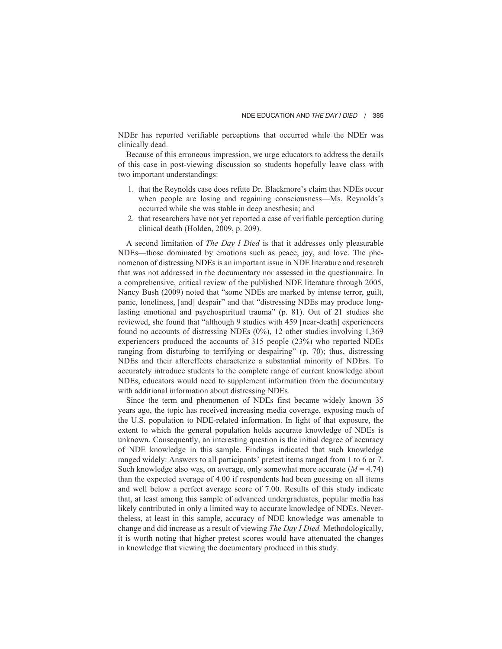NDEr has reported verifiable perceptions that occurred while the NDEr was clinically dead.

Because of this erroneous impression, we urge educators to address the details of this case in post-viewing discussion so students hopefully leave class with two important understandings:

- 1. that the Reynolds case does refute Dr. Blackmore's claim that NDEs occur when people are losing and regaining consciousness—Ms. Reynolds's occurred while she was stable in deep anesthesia; and
- 2. that researchers have not yet reported a case of verifiable perception during clinical death (Holden, 2009, p. 209).

A second limitation of *The Day I Died* is that it addresses only pleasurable NDEs—those dominated by emotions such as peace, joy, and love. The phenomenon of distressing NDEs is an important issue in NDE literature and research that was not addressed in the documentary nor assessed in the questionnaire. In a comprehensive, critical review of the published NDE literature through 2005, Nancy Bush (2009) noted that "some NDEs are marked by intense terror, guilt, panic, loneliness, [and] despair" and that "distressing NDEs may produce longlasting emotional and psychospiritual trauma" (p. 81). Out of 21 studies she reviewed, she found that "although 9 studies with 459 [near-death] experiencers found no accounts of distressing NDEs (0%), 12 other studies involving 1,369 experiencers produced the accounts of 315 people (23%) who reported NDEs ranging from disturbing to terrifying or despairing" (p. 70); thus, distressing NDEs and their aftereffects characterize a substantial minority of NDErs. To accurately introduce students to the complete range of current knowledge about NDEs, educators would need to supplement information from the documentary with additional information about distressing NDEs.

Since the term and phenomenon of NDEs first became widely known 35 years ago, the topic has received increasing media coverage, exposing much of the U.S. population to NDE-related information. In light of that exposure, the extent to which the general population holds accurate knowledge of NDEs is unknown. Consequently, an interesting question is the initial degree of accuracy of NDE knowledge in this sample. Findings indicated that such knowledge ranged widely: Answers to all participants' pretest items ranged from 1 to 6 or 7. Such knowledge also was, on average, only somewhat more accurate  $(M = 4.74)$ than the expected average of 4.00 if respondents had been guessing on all items and well below a perfect average score of 7.00. Results of this study indicate that, at least among this sample of advanced undergraduates, popular media has likely contributed in only a limited way to accurate knowledge of NDEs. Nevertheless, at least in this sample, accuracy of NDE knowledge was amenable to change and did increase as a result of viewing *The Day I Died.* Methodologically, it is worth noting that higher pretest scores would have attenuated the changes in knowledge that viewing the documentary produced in this study.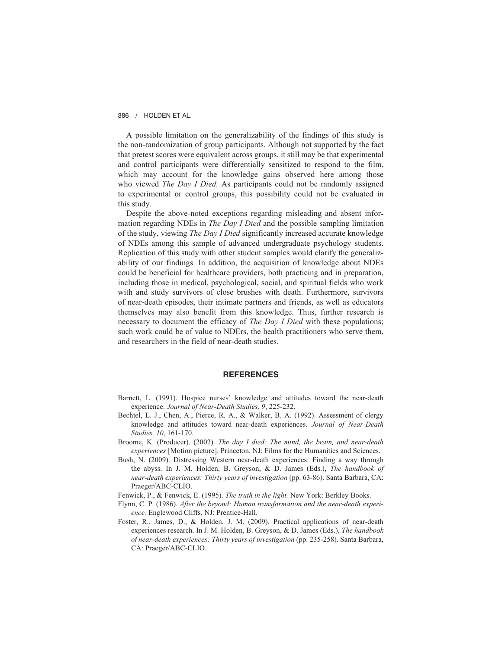A possible limitation on the generalizability of the findings of this study is the non-randomization of group participants. Although not supported by the fact that pretest scores were equivalent across groups, it still may be that experimental and control participants were differentially sensitized to respond to the film, which may account for the knowledge gains observed here among those who viewed *The Day I Died.* As participants could not be randomly assigned to experimental or control groups, this possibility could not be evaluated in this study.

Despite the above-noted exceptions regarding misleading and absent information regarding NDEs in *The Day I Died* and the possible sampling limitation of the study, viewing *The Day I Died* significantly increased accurate knowledge of NDEs among this sample of advanced undergraduate psychology students. Replication of this study with other student samples would clarify the generalizability of our findings. In addition, the acquisition of knowledge about NDEs could be beneficial for healthcare providers, both practicing and in preparation, including those in medical, psychological, social, and spiritual fields who work with and study survivors of close brushes with death. Furthermore, survivors of near-death episodes, their intimate partners and friends, as well as educators themselves may also benefit from this knowledge. Thus, further research is necessary to document the efficacy of *The Day I Died* with these populations; such work could be of value to NDErs, the health practitioners who serve them, and researchers in the field of near-death studies.

## **REFERENCES**

- Barnett, L. (1991). Hospice nurses' knowledge and attitudes toward the near-death experience. *Journal of Near-Death Studies, 9*, 225-232.
- Bechtel, L. J., Chen, A., Pierce, R. A., & Walker, B. A. (1992). Assessment of clergy knowledge and attitudes toward near-death experiences. *Journal of Near-Death Studies, 10*, 161-170.
- Broome, K. (Producer). (2002). *The day I died: The mind, the brain, and near-death experiences* [Motion picture]. Princeton, NJ: Films for the Humanities and Sciences.
- Bush, N. (2009). Distressing Western near-death experiences: Finding a way through the abyss. In J. M. Holden, B. Greyson, & D. James (Eds.), *The handbook of near-death experiences: Thirty years of investigation* (pp. 63-86). Santa Barbara, CA: Praeger/ABC-CLIO.
- Fenwick, P., & Fenwick, E. (1995). *The truth in the light.* New York: Berkley Books.
- Flynn, C. P. (1986). *After the beyond: Human transformation and the near-death experience.* Englewood Cliffs, NJ: Prentice-Hall.
- Foster, R., James, D., & Holden, J. M. (2009). Practical applications of near-death experiences research. In J. M. Holden, B. Greyson, & D. James (Eds.), *The handbook of near-death experiences: Thirty years of investigation* (pp. 235-258). Santa Barbara, CA: Praeger/ABC-CLIO.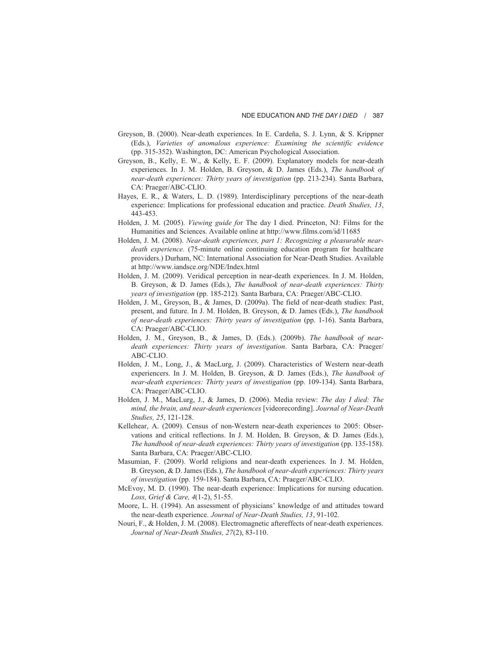- Greyson, B. (2000). Near-death experiences. In E. Cardeña, S. J. Lynn, & S. Krippner (Eds.), *Varieties of anomalous experience: Examining the scientific evidence* (pp. 315-352). Washington, DC: American Psychological Association.
- Greyson, B., Kelly, E. W., & Kelly, E. F. (2009). Explanatory models for near-death experiences. In J. M. Holden, B. Greyson, & D. James (Eds.), *The handbook of near-death experiences: Thirty years of investigation* (pp. 213-234). Santa Barbara, CA: Praeger/ABC-CLIO.
- Hayes, E. R., & Waters, L. D. (1989). Interdisciplinary perceptions of the near-death experience: Implications for professional education and practice. *Death Studies, 13*, 443-453.
- Holden, J. M. (2005). *Viewing guide fo*r The day I died. Princeton, NJ: Films for the Humanities and Sciences. Available online at http://www.films.com/id/11685
- Holden, J. M. (2008). *Near-death experiences, part 1: Recognizing a pleasurable neardeath experience.* (75-minute online continuing education program for healthcare providers.) Durham, NC: International Association for Near-Death Studies. Available at http://www.iandsce.org/NDE/Index.html
- Holden, J. M. (2009). Veridical perception in near-death experiences. In J. M. Holden, B. Greyson, & D. James (Eds.), *The handbook of near-death experiences: Thirty years of investigation* (pp. 185-212). Santa Barbara, CA: Praeger/ABC-CLIO.
- Holden, J. M., Greyson, B., & James, D. (2009a). The field of near-death studies: Past, present, and future. In J. M. Holden, B. Greyson, & D. James (Eds.), *The handbook of near-death experiences: Thirty years of investigation* (pp. 1-16). Santa Barbara, CA: Praeger/ABC-CLIO.
- Holden, J. M., Greyson, B., & James, D. (Eds.). (2009b). *The handbook of neardeath experiences: Thirty years of investigation*. Santa Barbara, CA: Praeger/ ABC-CLIO.
- Holden, J. M., Long, J., & MacLurg, J. (2009). Characteristics of Western near-death experiencers. In J. M. Holden, B. Greyson, & D. James (Eds.), *The handbook of near-death experiences: Thirty years of investigation* (pp. 109-134). Santa Barbara, CA: Praeger/ABC-CLIO.
- Holden, J. M., MacLurg, J., & James, D. (2006). Media review: *The day I died: The mind, the brain, and near-death experiences* [videorecording]. *Journal of Near-Death Studies, 25*, 121-128.
- Kellehear, A. (2009). Census of non-Western near-death experiences to 2005: Observations and critical reflections. In J. M. Holden, B. Greyson, & D. James (Eds.), *The handbook of near-death experiences: Thirty years of investigation* (pp. 135-158). Santa Barbara, CA: Praeger/ABC-CLIO.
- Masumian, F. (2009). World religions and near-death experiences. In J. M. Holden, B. Greyson, & D. James (Eds.), *The handbook of near-death experiences: Thirty years of investigation* (pp. 159-184). Santa Barbara, CA: Praeger/ABC-CLIO.
- McEvoy, M. D. (1990). The near-death experience: Implications for nursing education. *Loss, Grief & Care, 4*(1-2), 51-55.
- Moore, L. H. (1994). An assessment of physicians' knowledge of and attitudes toward the near-death experience. *Journal of Near-Death Studies, 13*, 91-102.
- Nouri, F., & Holden, J. M. (2008). Electromagnetic aftereffects of near-death experiences. *Journal of Near-Death Studies, 27*(2), 83-110.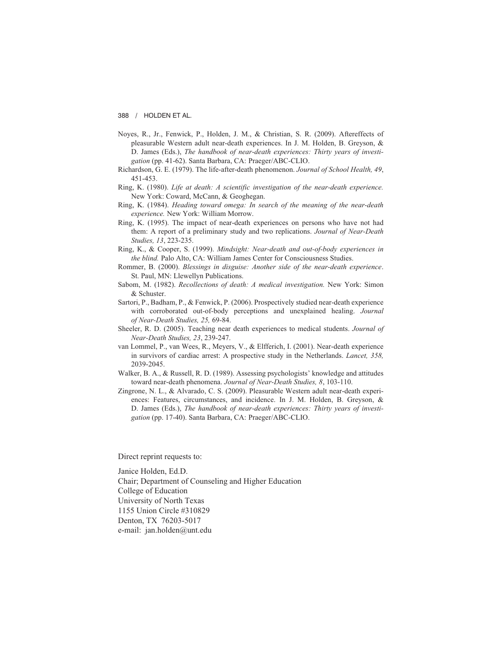- Noyes, R., Jr., Fenwick, P., Holden, J. M., & Christian, S. R. (2009). Aftereffects of pleasurable Western adult near-death experiences. In J. M. Holden, B. Greyson, & D. James (Eds.), *The handbook of near-death experiences: Thirty years of investigation* (pp. 41-62). Santa Barbara, CA: Praeger/ABC-CLIO.
- Richardson, G. E. (1979). The life-after-death phenomenon. *Journal of School Health, 49*, 451-453.
- Ring, K. (1980). *Life at death: A scientific investigation of the near-death experience.* New York: Coward, McCann, & Geoghegan.
- Ring, K. (1984). *Heading toward omega: In search of the meaning of the near-death experience.* New York: William Morrow.
- Ring, K. (1995). The impact of near-death experiences on persons who have not had them: A report of a preliminary study and two replications. *Journal of Near-Death Studies, 13*, 223-235.
- Ring, K., & Cooper, S. (1999). *Mindsight: Near-death and out-of-body experiences in the blind.* Palo Alto, CA: William James Center for Consciousness Studies.
- Rommer, B. (2000). *Blessings in disguise: Another side of the near-death experience*. St. Paul, MN: Llewellyn Publications.
- Sabom, M. (1982). *Recollections of death: A medical investigation.* New York: Simon & Schuster.
- Sartori, P., Badham, P., & Fenwick, P. (2006). Prospectively studied near-death experience with corroborated out-of-body perceptions and unexplained healing. *Journal of Near-Death Studies, 25,* 69-84.
- Sheeler, R. D. (2005). Teaching near death experiences to medical students. *Journal of Near-Death Studies, 23*, 239-247.
- van Lommel, P., van Wees, R., Meyers, V., & Elfferich, I. (2001). Near-death experience in survivors of cardiac arrest: A prospective study in the Netherlands. *Lancet, 358,* 2039-2045.
- Walker, B. A., & Russell, R. D. (1989). Assessing psychologists' knowledge and attitudes toward near-death phenomena. *Journal of Near-Death Studies, 8*, 103-110.
- Zingrone, N. L., & Alvarado, C. S. (2009). Pleasurable Western adult near-death experiences: Features, circumstances, and incidence. In J. M. Holden, B. Greyson, & D. James (Eds.), *The handbook of near-death experiences: Thirty years of investigation* (pp. 17-40). Santa Barbara, CA: Praeger/ABC-CLIO.

Direct reprint requests to:

Janice Holden, Ed.D. Chair; Department of Counseling and Higher Education College of Education University of North Texas 1155 Union Circle #310829 Denton, TX 76203-5017 e-mail: jan.holden@unt.edu